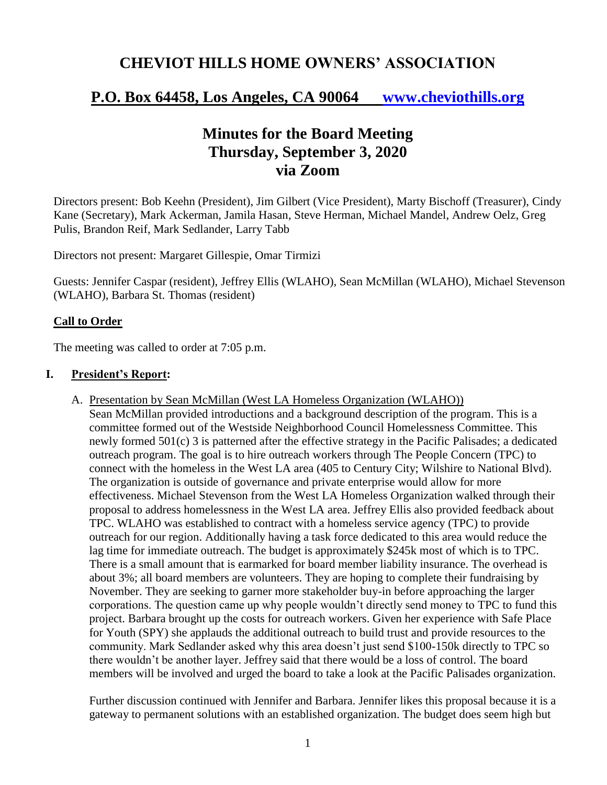# **CHEVIOT HILLS HOME OWNERS' ASSOCIATION**

# **P.O. Box 64458, Los Angeles, CA 90064 [www.cheviothills.org](http://www.cheviothills.org/)**

# **Minutes for the Board Meeting Thursday, September 3, 2020 via Zoom**

Directors present: Bob Keehn (President), Jim Gilbert (Vice President), Marty Bischoff (Treasurer), Cindy Kane (Secretary), Mark Ackerman, Jamila Hasan, Steve Herman, Michael Mandel, Andrew Oelz, Greg Pulis, Brandon Reif, Mark Sedlander, Larry Tabb

Directors not present: Margaret Gillespie, Omar Tirmizi

Guests: Jennifer Caspar (resident), Jeffrey Ellis (WLAHO), Sean McMillan (WLAHO), Michael Stevenson (WLAHO), Barbara St. Thomas (resident)

### **Call to Order**

The meeting was called to order at 7:05 p.m.

### **I. President's Report:**

A. Presentation by Sean McMillan (West LA Homeless Organization (WLAHO))

Sean McMillan provided introductions and a background description of the program. This is a committee formed out of the Westside Neighborhood Council Homelessness Committee. This newly formed 501(c) 3 is patterned after the effective strategy in the Pacific Palisades; a dedicated outreach program. The goal is to hire outreach workers through The People Concern (TPC) to connect with the homeless in the West LA area (405 to Century City; Wilshire to National Blvd). The organization is outside of governance and private enterprise would allow for more effectiveness. Michael Stevenson from the West LA Homeless Organization walked through their proposal to address homelessness in the West LA area. Jeffrey Ellis also provided feedback about TPC. WLAHO was established to contract with a homeless service agency (TPC) to provide outreach for our region. Additionally having a task force dedicated to this area would reduce the lag time for immediate outreach. The budget is approximately \$245k most of which is to TPC. There is a small amount that is earmarked for board member liability insurance. The overhead is about 3%; all board members are volunteers. They are hoping to complete their fundraising by November. They are seeking to garner more stakeholder buy-in before approaching the larger corporations. The question came up why people wouldn't directly send money to TPC to fund this project. Barbara brought up the costs for outreach workers. Given her experience with Safe Place for Youth (SPY) she applauds the additional outreach to build trust and provide resources to the community. Mark Sedlander asked why this area doesn't just send \$100-150k directly to TPC so there wouldn't be another layer. Jeffrey said that there would be a loss of control. The board members will be involved and urged the board to take a look at the Pacific Palisades organization.

Further discussion continued with Jennifer and Barbara. Jennifer likes this proposal because it is a gateway to permanent solutions with an established organization. The budget does seem high but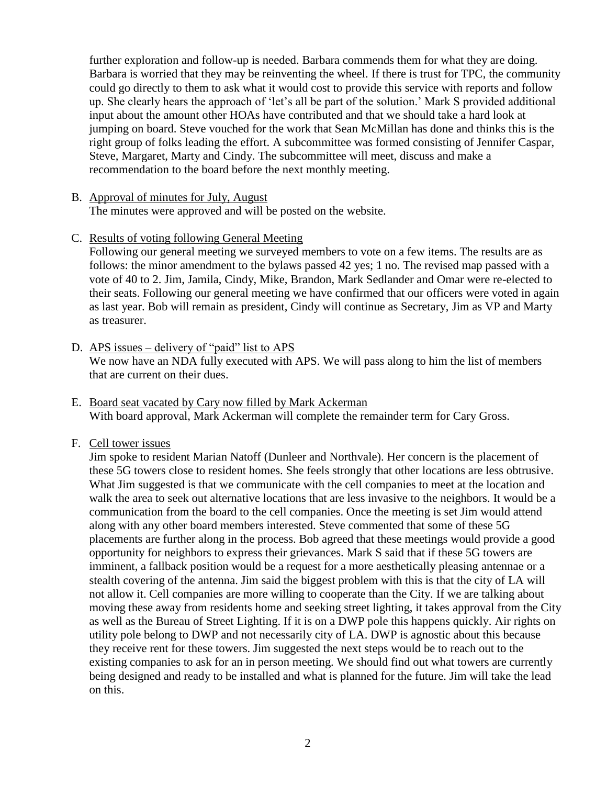further exploration and follow-up is needed. Barbara commends them for what they are doing. Barbara is worried that they may be reinventing the wheel. If there is trust for TPC, the community could go directly to them to ask what it would cost to provide this service with reports and follow up. She clearly hears the approach of 'let's all be part of the solution.' Mark S provided additional input about the amount other HOAs have contributed and that we should take a hard look at jumping on board. Steve vouched for the work that Sean McMillan has done and thinks this is the right group of folks leading the effort. A subcommittee was formed consisting of Jennifer Caspar, Steve, Margaret, Marty and Cindy. The subcommittee will meet, discuss and make a recommendation to the board before the next monthly meeting.

#### B. Approval of minutes for July, August

The minutes were approved and will be posted on the website.

#### C. Results of voting following General Meeting

Following our general meeting we surveyed members to vote on a few items. The results are as follows: the minor amendment to the bylaws passed 42 yes; 1 no. The revised map passed with a vote of 40 to 2. Jim, Jamila, Cindy, Mike, Brandon, Mark Sedlander and Omar were re-elected to their seats. Following our general meeting we have confirmed that our officers were voted in again as last year. Bob will remain as president, Cindy will continue as Secretary, Jim as VP and Marty as treasurer.

- D. APS issues delivery of "paid" list to APS We now have an NDA fully executed with APS. We will pass along to him the list of members that are current on their dues.
- E. Board seat vacated by Cary now filled by Mark Ackerman With board approval, Mark Ackerman will complete the remainder term for Cary Gross.

#### F. Cell tower issues

Jim spoke to resident Marian Natoff (Dunleer and Northvale). Her concern is the placement of these 5G towers close to resident homes. She feels strongly that other locations are less obtrusive. What Jim suggested is that we communicate with the cell companies to meet at the location and walk the area to seek out alternative locations that are less invasive to the neighbors. It would be a communication from the board to the cell companies. Once the meeting is set Jim would attend along with any other board members interested. Steve commented that some of these 5G placements are further along in the process. Bob agreed that these meetings would provide a good opportunity for neighbors to express their grievances. Mark S said that if these 5G towers are imminent, a fallback position would be a request for a more aesthetically pleasing antennae or a stealth covering of the antenna. Jim said the biggest problem with this is that the city of LA will not allow it. Cell companies are more willing to cooperate than the City. If we are talking about moving these away from residents home and seeking street lighting, it takes approval from the City as well as the Bureau of Street Lighting. If it is on a DWP pole this happens quickly. Air rights on utility pole belong to DWP and not necessarily city of LA. DWP is agnostic about this because they receive rent for these towers. Jim suggested the next steps would be to reach out to the existing companies to ask for an in person meeting. We should find out what towers are currently being designed and ready to be installed and what is planned for the future. Jim will take the lead on this.